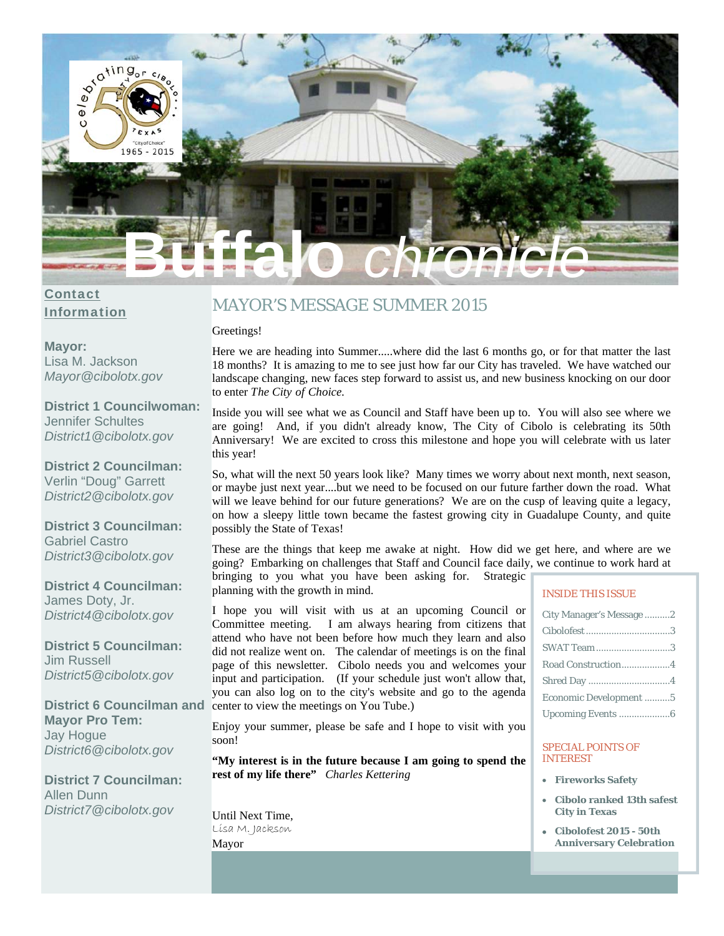

#### Contact Information

**Mayor:**  Lisa M. Jackson *Mayor@cibolotx.gov* 

**District 1 Councilwoman:**  Jennifer Schultes *District1@cibolotx.gov* 

**District 2 Councilman:**  Verlin "Doug" Garrett *District2@cibolotx.gov* 

**District 3 Councilman:**  Gabriel Castro *District3@cibolotx.gov* 

**District 4 Councilman:**  James Doty, Jr. *District4@cibolotx.gov* 

**District 5 Councilman:**  Jim Russell *District5@cibolotx.gov* 

**District 6 Councilman and Mayor Pro Tem:**  Jay Hogue *District6@cibolotx.gov* 

**District 7 Councilman:**  Allen Dunn *District7@cibolotx.gov*

#### MAYOR'S MESSAGE SUMMER 2015

#### Greetings!

Here we are heading into Summer.....where did the last 6 months go, or for that matter the last 18 months? It is amazing to me to see just how far our City has traveled. We have watched our landscape changing, new faces step forward to assist us, and new business knocking on our door to enter *The City of Choice.* 

Inside you will see what we as Council and Staff have been up to. You will also see where we are going! And, if you didn't already know, The City of Cibolo is celebrating its 50th Anniversary! We are excited to cross this milestone and hope you will celebrate with us later this year!

So, what will the next 50 years look like? Many times we worry about next month, next season, or maybe just next year....but we need to be focused on our future farther down the road. What will we leave behind for our future generations? We are on the cusp of leaving quite a legacy, on how a sleepy little town became the fastest growing city in Guadalupe County, and quite possibly the State of Texas!

These are the things that keep me awake at night. How did we get here, and where are we going? Embarking on challenges that Staff and Council face daily, we continue to work hard at bringing to you what you have been asking for. Strategic

planning with the growth in mind.

I hope you will visit with us at an upcoming Council or Committee meeting. I am always hearing from citizens that attend who have not been before how much they learn and also did not realize went on. The calendar of meetings is on the final page of this newsletter. Cibolo needs you and welcomes your input and participation. (If your schedule just won't allow that, you can also log on to the city's website and go to the agenda center to view the meetings on You Tube.)

Enjoy your summer, please be safe and I hope to visit with you soon!

**"My interest is in the future because I am going to spend the rest of my life there"** *Charles Kettering*

Until Next Time, Lisa M. Jackson Mayor

#### INSIDE THIS ISSUE

| City Manager's Message 2 |
|--------------------------|
| Cibolofest3              |
| SWAT Team3               |
| Road Construction4       |
|                          |
| Economic Development5    |
|                          |

#### SPECIAL POINTS OF INTEREST

- **Fireworks Safety**
- **Cibolo ranked 13th safest City in Texas**
- **Cibolofest 2015 50th Anniversary Celebration**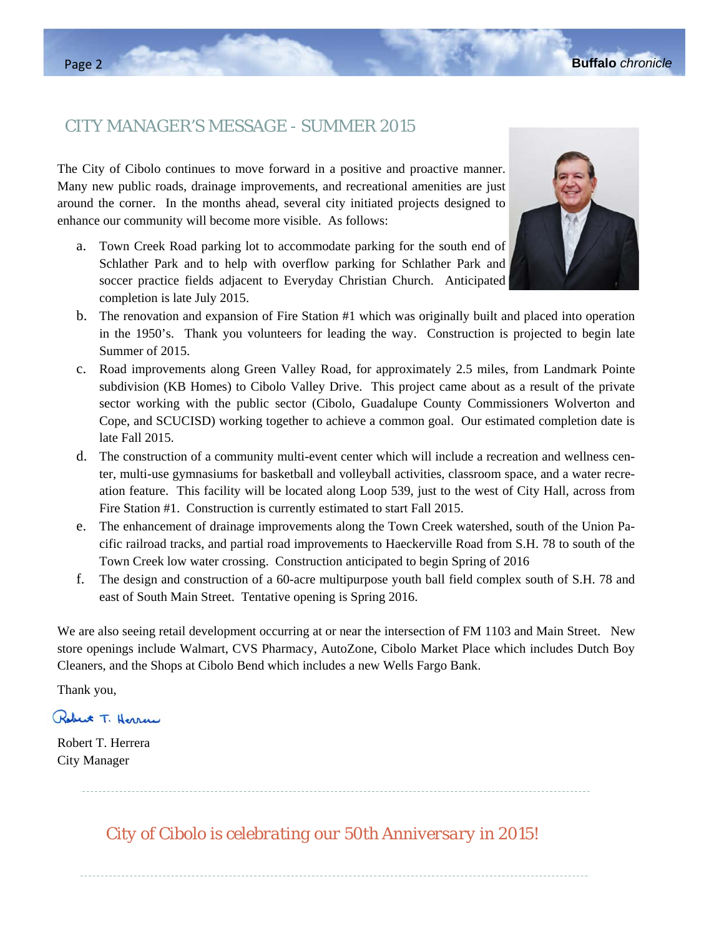#### CITY MANAGER'S MESSAGE - SUMMER 2015

The City of Cibolo continues to move forward in a positive and proactive manner. Many new public roads, drainage improvements, and recreational amenities are just around the corner. In the months ahead, several city initiated projects designed to enhance our community will become more visible. As follows:

a. Town Creek Road parking lot to accommodate parking for the south end of Schlather Park and to help with overflow parking for Schlather Park and soccer practice fields adjacent to Everyday Christian Church. Anticipated completion is late July 2015.



- b. The renovation and expansion of Fire Station #1 which was originally built and placed into operation in the 1950's. Thank you volunteers for leading the way. Construction is projected to begin late Summer of 2015.
- c. Road improvements along Green Valley Road, for approximately 2.5 miles, from Landmark Pointe subdivision (KB Homes) to Cibolo Valley Drive. This project came about as a result of the private sector working with the public sector (Cibolo, Guadalupe County Commissioners Wolverton and Cope, and SCUCISD) working together to achieve a common goal. Our estimated completion date is late Fall 2015.
- d. The construction of a community multi-event center which will include a recreation and wellness center, multi-use gymnasiums for basketball and volleyball activities, classroom space, and a water recreation feature. This facility will be located along Loop 539, just to the west of City Hall, across from Fire Station #1. Construction is currently estimated to start Fall 2015.
- e. The enhancement of drainage improvements along the Town Creek watershed, south of the Union Pacific railroad tracks, and partial road improvements to Haeckerville Road from S.H. 78 to south of the Town Creek low water crossing. Construction anticipated to begin Spring of 2016
- f. The design and construction of a 60-acre multipurpose youth ball field complex south of S.H. 78 and east of South Main Street. Tentative opening is Spring 2016.

We are also seeing retail development occurring at or near the intersection of FM 1103 and Main Street. New store openings include Walmart, CVS Pharmacy, AutoZone, Cibolo Market Place which includes Dutch Boy Cleaners, and the Shops at Cibolo Bend which includes a new Wells Fargo Bank.

Thank you,

Robert T. Horror

Robert T. Herrera City Manager

*City of Cibolo is celebrating our 50th Anniversary in 2015!*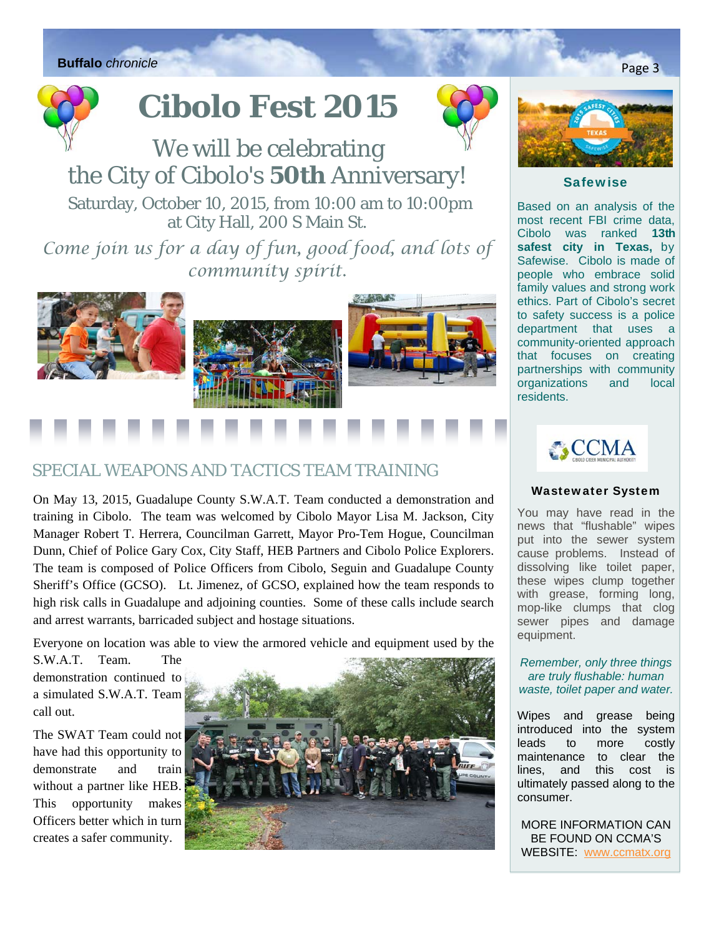

# **Cibolo Fest 2015**



## We will be celebrating the City of Cibolo's **50th** Anniversary!

Saturday, October 10, 2015, from 10:00 am to 10:00pm at City Hall, 200 S Main St.

*Come join us for a day of fun, good food, and lots of community spirit.* 







### SPECIAL WEAPONS AND TACTICS TEAM TRAINING

On May 13, 2015, Guadalupe County S.W.A.T. Team conducted a demonstration and training in Cibolo. The team was welcomed by Cibolo Mayor Lisa M. Jackson, City Manager Robert T. Herrera, Councilman Garrett, Mayor Pro-Tem Hogue, Councilman Dunn, Chief of Police Gary Cox, City Staff, HEB Partners and Cibolo Police Explorers. The team is composed of Police Officers from Cibolo, Seguin and Guadalupe County Sheriff's Office (GCSO). Lt. Jimenez, of GCSO, explained how the team responds to high risk calls in Guadalupe and adjoining counties. Some of these calls include search and arrest warrants, barricaded subject and hostage situations.

Everyone on location was able to view the armored vehicle and equipment used by the

S.W.A.T. Team. The demonstration continued to a simulated S.W.A.T. Team call out.

The SWAT Team could not have had this opportunity to demonstrate and train without a partner like HEB. This opportunity makes Officers better which in turn creates a safer community.





#### **Safewise**

Based on an analysis of the most recent FBI crime data, Cibolo was ranked **13th safest city in Texas,** by Safewise. Cibolo is made of people who embrace solid family values and strong work ethics. Part of Cibolo's secret to safety success is a police department that uses a community-oriented approach that focuses on creating partnerships with community organizations and local residents.



#### Wastewater System

You may have read in the news that "flushable" wipes put into the sewer system cause problems. Instead of dissolving like toilet paper, these wipes clump together with grease, forming long, mop-like clumps that clog sewer pipes and damage equipment.

#### *Remember, only three things are truly flushable: human waste, toilet paper and water.*

Wipes and grease being introduced into the system leads to more costly maintenance to clear the lines, and this cost is ultimately passed along to the consumer.

MORE INFORMATION CAN BE FOUND ON CCMA'S WEBSITE www.ccmatx.org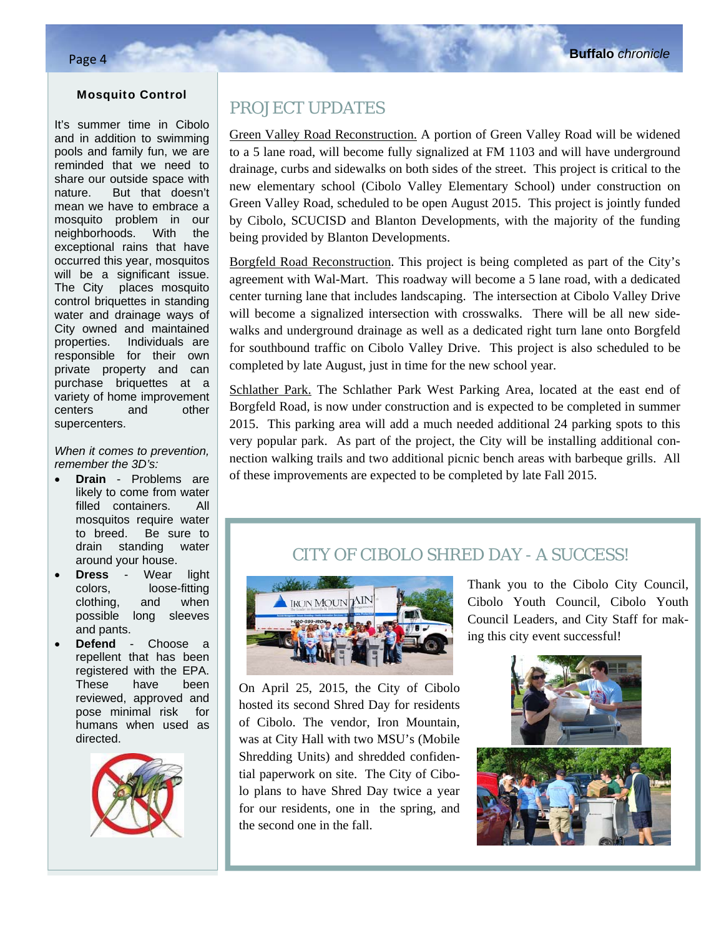#### Mosquito Control

It's summer time in Cibolo and in addition to swimming pools and family fun, we are reminded that we need to share our outside space with nature. But that doesn't mean we have to embrace a mosquito problem in our neighborhoods. With the exceptional rains that have occurred this year, mosquitos will be a significant issue. The City places mosquito control briquettes in standing water and drainage ways of City owned and maintained properties. Individuals are responsible for their own private property and can purchase briquettes at a variety of home improvement centers and other supercenters.

#### *When it comes to prevention, remember the 3D's:*

- **Drain** Problems are likely to come from water filled containers. All mosquitos require water to breed. Be sure to drain standing water around your house.
- **Dress**  Wear light colors, loose-fitting clothing, and when possible long sleeves and pants.
- **Defend** Choose a repellent that has been registered with the EPA. These have been reviewed, approved and pose minimal risk for humans when used as directed.



#### PROJECT UPDATES

Green Valley Road Reconstruction. A portion of Green Valley Road will be widened to a 5 lane road, will become fully signalized at FM 1103 and will have underground drainage, curbs and sidewalks on both sides of the street. This project is critical to the new elementary school (Cibolo Valley Elementary School) under construction on Green Valley Road, scheduled to be open August 2015. This project is jointly funded by Cibolo, SCUCISD and Blanton Developments, with the majority of the funding being provided by Blanton Developments.

Borgfeld Road Reconstruction. This project is being completed as part of the City's agreement with Wal-Mart. This roadway will become a 5 lane road, with a dedicated center turning lane that includes landscaping. The intersection at Cibolo Valley Drive will become a signalized intersection with crosswalks. There will be all new sidewalks and underground drainage as well as a dedicated right turn lane onto Borgfeld for southbound traffic on Cibolo Valley Drive. This project is also scheduled to be completed by late August, just in time for the new school year.

Schlather Park. The Schlather Park West Parking Area, located at the east end of Borgfeld Road, is now under construction and is expected to be completed in summer 2015. This parking area will add a much needed additional 24 parking spots to this very popular park. As part of the project, the City will be installing additional connection walking trails and two additional picnic bench areas with barbeque grills. All of these improvements are expected to be completed by late Fall 2015.

#### CITY OF CIBOLO SHRED DAY - A SUCCESS!



On April 25, 2015, the City of Cibolo hosted its second Shred Day for residents of Cibolo. The vendor, Iron Mountain, was at City Hall with two MSU's (Mobile Shredding Units) and shredded confidential paperwork on site. The City of Cibolo plans to have Shred Day twice a year for our residents, one in the spring, and the second one in the fall.

Thank you to the Cibolo City Council, Cibolo Youth Council, Cibolo Youth Council Leaders, and City Staff for making this city event successful!

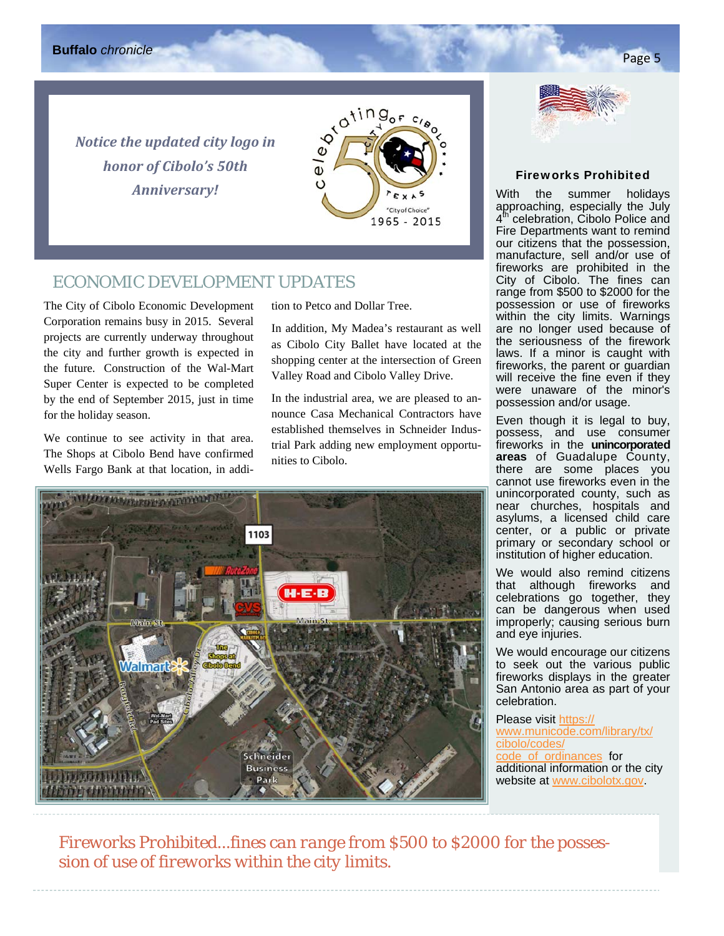**Buffalo** *chronicle* **Page 5** 

*Notice the updated city logo in honor of Cibolo's 50th Anniversary!*



#### ECONOMIC DEVELOPMENT UPDATES

The City of Cibolo Economic Development Corporation remains busy in 2015. Several projects are currently underway throughout the city and further growth is expected in the future. Construction of the Wal-Mart Super Center is expected to be completed by the end of September 2015, just in time for the holiday season.

We continue to see activity in that area. The Shops at Cibolo Bend have confirmed Wells Fargo Bank at that location, in addition to Petco and Dollar Tree.

In addition, My Madea's restaurant as well as Cibolo City Ballet have located at the shopping center at the intersection of Green Valley Road and Cibolo Valley Drive.

In the industrial area, we are pleased to announce Casa Mechanical Contractors have established themselves in Schneider Industrial Park adding new employment opportunities to Cibolo.





#### Fireworks Prohibited

With the summer holidays approaching, especially the July 4<sup>th'</sup> celebration, Cibolo Police and Fire Departments want to remind our citizens that the possession, manufacture, sell and/or use of fireworks are prohibited in the City of Cibolo. The fines can range from \$500 to \$2000 for the possession or use of fireworks within the city limits. Warnings are no longer used because of the seriousness of the firework laws. If a minor is caught with fireworks, the parent or guardian will receive the fine even if they were unaware of the minor's possession and/or usage.

Even though it is legal to buy, possess, and use consumer fireworks in the **unincorporated areas** of Guadalupe County, there are some places you cannot use fireworks even in the unincorporated county, such as near churches, hospitals and asylums, a licensed child care center, or a public or private primary or secondary school or institution of higher education.

We would also remind citizens that although fireworks and celebrations go together, they can be dangerous when used improperly; causing serious burn and eye injuries.

We would encourage our citizens to seek out the various public fireworks displays in the greater San Antonio area as part of your celebration.

#### Please visit https://

www.municode.com/library/tx/ cibolo/codes/ code\_of\_ordinances for additional information or the city website at www.cibolotx.gov.

*Fireworks Prohibited...fines can range from \$500 to \$2000 for the possession of use of fireworks within the city limits.*